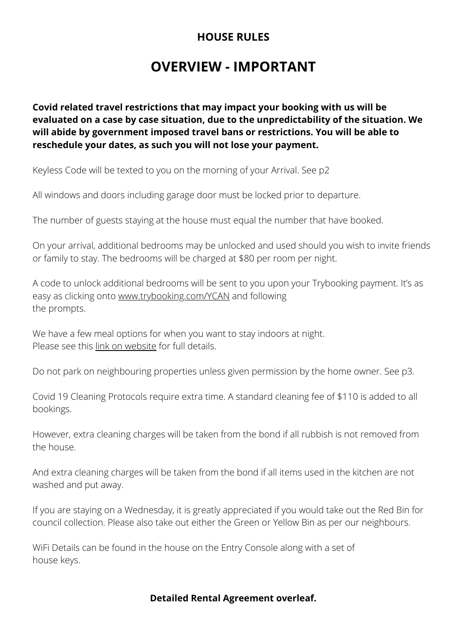# **OVERVIEW - IMPORTANT**

**Covid related travel restrictions that may impact your booking with us will be evaluated on a case by case situation, due to the unpredictability of the situation. We will abide by government imposed travel bans or restrictions. You will be able to reschedule your dates, as such you will not lose your payment.**

Keyless Code will be texted to you on the morning of your Arrival. See p2

All windows and doors including garage door must be locked prior to departure.

The number of guests staying at the house must equal the number that have booked.

On your arrival, additional bedrooms may be unlocked and used should you wish to invite friends or family to stay. The bedrooms will be charged at \$80 per room per night.

A code to unlock additional bedrooms will be sent to you upon your Trybooking payment. It's as easy as clicking onto [www.trybooking.com/YCAN](https://www.trybooking.com/YCAN) and following the prompts.

We have a few meal options for when you want to stay indoors at night. Please see this [link on website](https://bit.ly/DineInMeals) for full details.

Do not park on neighbouring properties unless given permission by the home owner. See p3.

Covid 19 Cleaning Protocols require extra time. A standard cleaning fee of \$110 is added to all bookings.

However, extra cleaning charges will be taken from the bond if all rubbish is not removed from the house.

And extra cleaning charges will be taken from the bond if all items used in the kitchen are not washed and put away.

If you are staying on a Wednesday, it is greatly appreciated if you would take out the Red Bin for council collection. Please also take out either the Green or Yellow Bin as per our neighbours.

WiFi Details can be found in the house on the Entry Console along with a set of house keys.

### **Detailed Rental Agreement overleaf.**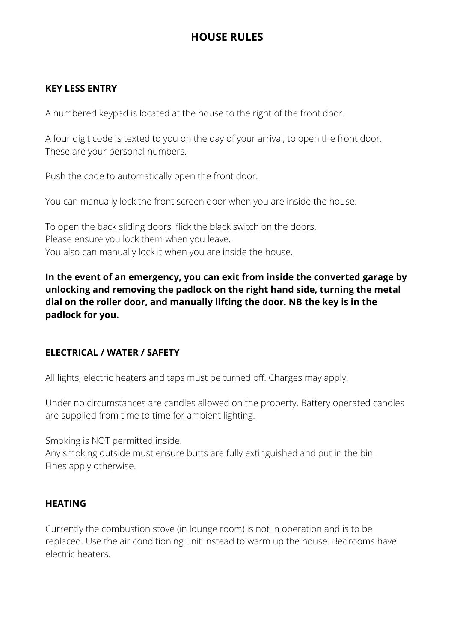## **KEY LESS ENTRY**

A numbered keypad is located at the house to the right of the front door.

A four digit code is texted to you on the day of your arrival, to open the front door. These are your personal numbers.

Push the code to automatically open the front door.

You can manually lock the front screen door when you are inside the house.

To open the back sliding doors, flick the black switch on the doors. Please ensure you lock them when you leave. You also can manually lock it when you are inside the house.

**In the event of an emergency, you can exit from inside the converted garage by unlocking and removing the padlock on the right hand side, turning the metal dial on the roller door, and manually lifting the door. NB the key is in the padlock for you.**

### **ELECTRICAL / WATER / SAFETY**

All lights, electric heaters and taps must be turned off. Charges may apply.

Under no circumstances are candles allowed on the property. Battery operated candles are supplied from time to time for ambient lighting.

Smoking is NOT permitted inside.

Any smoking outside must ensure butts are fully extinguished and put in the bin. Fines apply otherwise.

### **HEATING**

Currently the combustion stove (in lounge room) is not in operation and is to be replaced. Use the air conditioning unit instead to warm up the house. Bedrooms have electric heaters.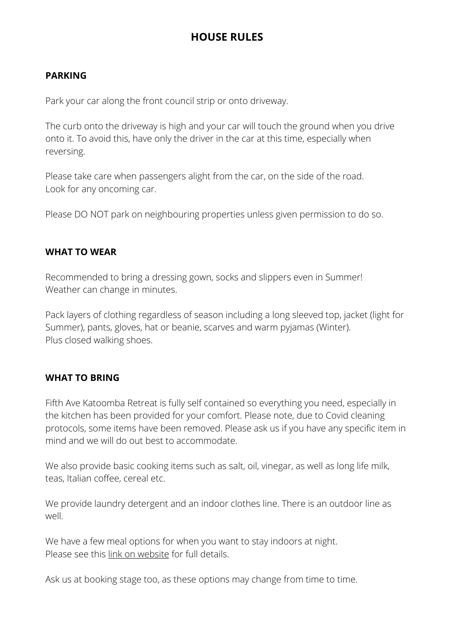## **PARKING**

Park your car along the front council strip or onto driveway.

The curb onto the driveway is high and your car will touch the ground when you drive onto it. To avoid this, have only the driver in the car at this time, especially when reversing.

Please take care when passengers alight from the car, on the side of the road. Look for any oncoming car.

Please DO NOT park on neighbouring properties unless given permission to do so.

### **WHAT TO WEAR**

Recommended to bring a dressing gown, socks and slippers even in Summer! Weather can change in minutes.

Pack layers of clothing regardless of season including a long sleeved top, jacket (light for Summer), pants, gloves, hat or beanie, scarves and warm pyjamas (Winter). Plus closed walking shoes.

### **WHAT TO BRING**

Fifth Ave Katoomba Retreat is fully self contained so everything you need, especially in the kitchen has been provided for your comfort. Please note, due to Covid cleaning protocols, some items have been removed. Please ask us if you have any specific item in mind and we will do out best to accommodate.

We also provide basic cooking items such as salt, oil, vinegar, as well as long life milk, teas, Italian coffee, cereal etc.

We provide laundry detergent and an indoor clothes line. There is an outdoor line as well.

We have a few meal options for when you want to stay indoors at night. Please see this [link on website](https://bit.ly/DineInMeals) for full details.

Ask us at booking stage too, as these options may change from time to time.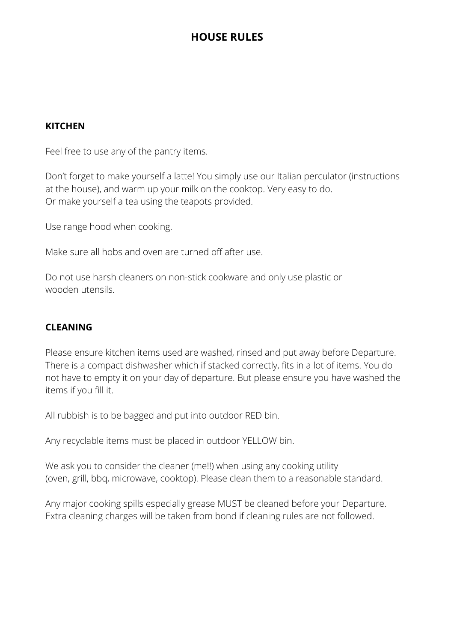### **KITCHEN**

Feel free to use any of the pantry items.

Don't forget to make yourself a latte! You simply use our Italian perculator (instructions at the house), and warm up your milk on the cooktop. Very easy to do. Or make yourself a tea using the teapots provided.

Use range hood when cooking.

Make sure all hobs and oven are turned off after use.

Do not use harsh cleaners on non-stick cookware and only use plastic or wooden utensils.

### **CLEANING**

Please ensure kitchen items used are washed, rinsed and put away before Departure. There is a compact dishwasher which if stacked correctly, fits in a lot of items. You do not have to empty it on your day of departure. But please ensure you have washed the items if you fill it.

All rubbish is to be bagged and put into outdoor RED bin.

Any recyclable items must be placed in outdoor YELLOW bin.

We ask you to consider the cleaner (me!!) when using any cooking utility (oven, grill, bbq, microwave, cooktop). Please clean them to a reasonable standard.

Any major cooking spills especially grease MUST be cleaned before your Departure. Extra cleaning charges will be taken from bond if cleaning rules are not followed.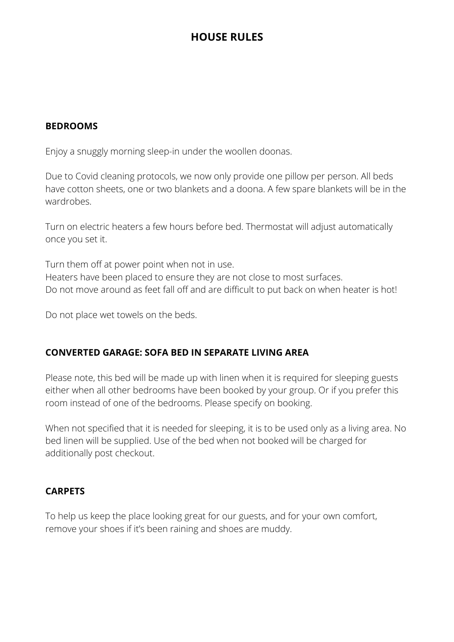#### **BEDROOMS**

Enjoy a snuggly morning sleep-in under the woollen doonas.

Due to Covid cleaning protocols, we now only provide one pillow per person. All beds have cotton sheets, one or two blankets and a doona. A few spare blankets will be in the wardrobes.

Turn on electric heaters a few hours before bed. Thermostat will adjust automatically once you set it.

Turn them off at power point when not in use. Heaters have been placed to ensure they are not close to most surfaces. Do not move around as feet fall off and are difficult to put back on when heater is hot!

Do not place wet towels on the beds.

### **CONVERTED GARAGE: SOFA BED IN SEPARATE LIVING AREA**

Please note, this bed will be made up with linen when it is required for sleeping guests either when all other bedrooms have been booked by your group. Or if you prefer this room instead of one of the bedrooms. Please specify on booking.

When not specified that it is needed for sleeping, it is to be used only as a living area. No bed linen will be supplied. Use of the bed when not booked will be charged for additionally post checkout.

### **CARPETS**

To help us keep the place looking great for our guests, and for your own comfort, remove your shoes if it's been raining and shoes are muddy.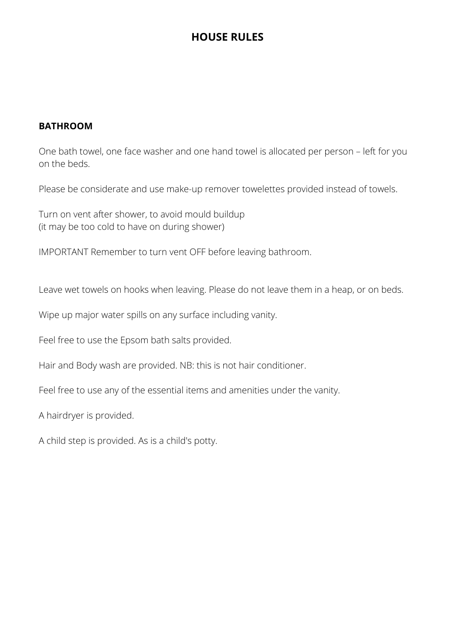#### **BATHROOM**

One bath towel, one face washer and one hand towel is allocated per person – left for you on the beds.

Please be considerate and use make-up remover towelettes provided instead of towels.

Turn on vent after shower, to avoid mould buildup (it may be too cold to have on during shower)

IMPORTANT Remember to turn vent OFF before leaving bathroom.

Leave wet towels on hooks when leaving. Please do not leave them in a heap, or on beds.

Wipe up major water spills on any surface including vanity.

Feel free to use the Epsom bath salts provided.

Hair and Body wash are provided. NB: this is not hair conditioner.

Feel free to use any of the essential items and amenities under the vanity.

A hairdryer is provided.

A child step is provided. As is a child's potty.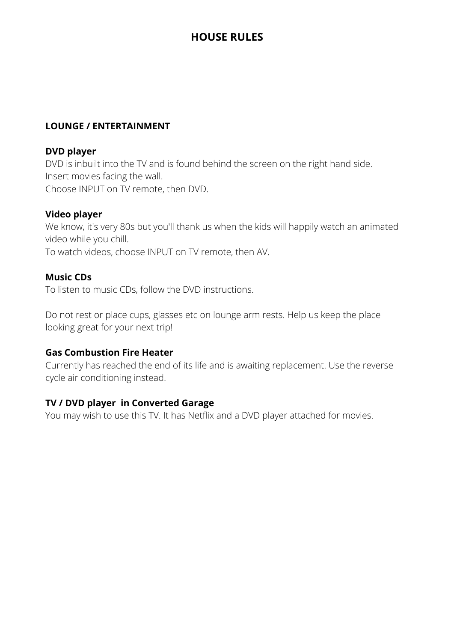## **LOUNGE / ENTERTAINMENT**

#### **DVD player**

DVD is inbuilt into the TV and is found behind the screen on the right hand side. Insert movies facing the wall. Choose INPUT on TV remote, then DVD.

### **Video player**

We know, it's very 80s but you'll thank us when the kids will happily watch an animated video while you chill.

To watch videos, choose INPUT on TV remote, then AV.

### **Music CDs**

To listen to music CDs, follow the DVD instructions.

Do not rest or place cups, glasses etc on lounge arm rests. Help us keep the place looking great for your next trip!

### **Gas Combustion Fire Heater**

Currently has reached the end of its life and is awaiting replacement. Use the reverse cycle air conditioning instead.

### **TV / DVD player in Converted Garage**

You may wish to use this TV. It has Netflix and a DVD player attached for movies.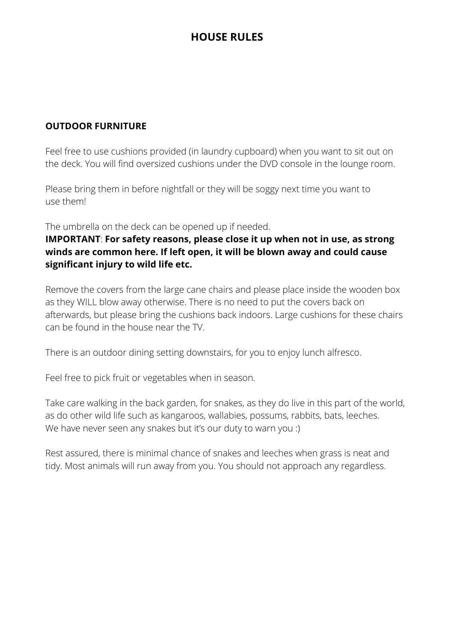## **OUTDOOR FURNITURE**

Feel free to use cushions provided (in laundry cupboard) when you want to sit out on the deck. You will find oversized cushions under the DVD console in the lounge room.

Please bring them in before nightfall or they will be soggy next time you want to use them!

The umbrella on the deck can be opened up if needed.

## **IMPORTANT**: **For safety reasons, please close it up when not in use, as strong winds are common here. If left open, it will be blown away and could cause significant injury to wild life etc.**

Remove the covers from the large cane chairs and please place inside the wooden box as they WILL blow away otherwise. There is no need to put the covers back on afterwards, but please bring the cushions back indoors. Large cushions for these chairs can be found in the house near the TV.

There is an outdoor dining setting downstairs, for you to enjoy lunch alfresco.

Feel free to pick fruit or vegetables when in season.

Take care walking in the back garden, for snakes, as they do live in this part of the world, as do other wild life such as kangaroos, wallabies, possums, rabbits, bats, leeches. We have never seen any snakes but it's our duty to warn you :)

Rest assured, there is minimal chance of snakes and leeches when grass is neat and tidy. Most animals will run away from you. You should not approach any regardless.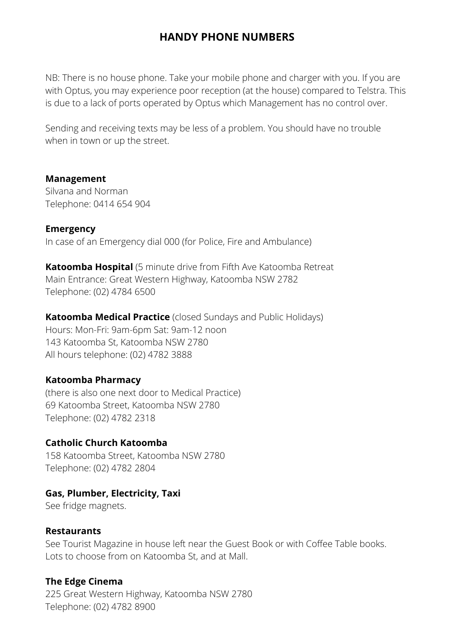## **HANDY PHONE NUMBERS**

NB: There is no house phone. Take your mobile phone and charger with you. If you are with Optus, you may experience poor reception (at the house) compared to Telstra. This is due to a lack of ports operated by Optus which Management has no control over.

Sending and receiving texts may be less of a problem. You should have no trouble when in town or up the street.

#### **Management**

Silvana and Norman Telephone: 0414 654 904

**Emergency** In case of an Emergency dial 000 (for Police, Fire and Ambulance)

**Katoomba Hospital** (5 minute drive from Fifth Ave Katoomba Retreat Main Entrance: Great Western Highway, Katoomba NSW 2782 Telephone: (02) 4784 6500

**Katoomba Medical Practice** (closed Sundays and Public Holidays) Hours: Mon-Fri: 9am-6pm Sat: 9am-12 noon 143 Katoomba St, Katoomba NSW 2780 All hours telephone: (02) 4782 3888

#### **Katoomba Pharmacy**

(there is also one next door to Medical Practice) 69 Katoomba Street, Katoomba NSW 2780 Telephone: (02) 4782 2318

#### **Catholic Church Katoomba**

158 Katoomba Street, Katoomba NSW 2780 Telephone: (02) 4782 2804

### **Gas, Plumber, Electricity, Taxi**

See fridge magnets.

#### **Restaurants**

See Tourist Magazine in house left near the Guest Book or with Coffee Table books. Lots to choose from on Katoomba St, and at Mall.

### **The Edge Cinema**

225 Great Western Highway, Katoomba NSW 2780 Telephone: (02) 4782 8900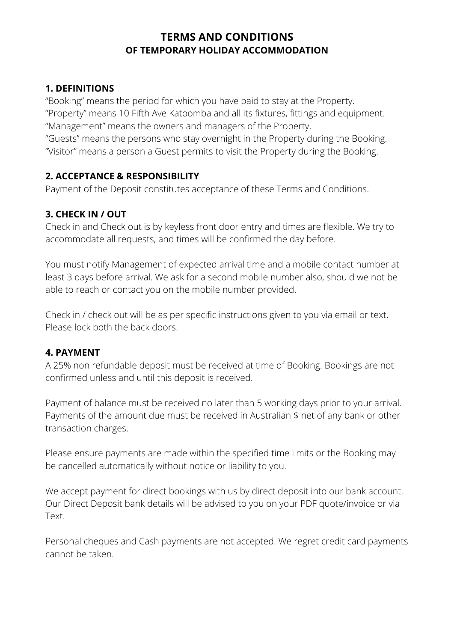## **1. DEFINITIONS**

"Booking" means the period for which you have paid to stay at the Property. "Property" means 10 Fifth Ave Katoomba and all its fixtures, fittings and equipment. "Management" means the owners and managers of the Property.

"Guests" means the persons who stay overnight in the Property during the Booking. "Visitor" means a person a Guest permits to visit the Property during the Booking.

## **2. ACCEPTANCE & RESPONSIBILITY**

Payment of the Deposit constitutes acceptance of these Terms and Conditions.

## **3. CHECK IN / OUT**

Check in and Check out is by keyless front door entry and times are flexible. We try to accommodate all requests, and times will be confirmed the day before.

You must notify Management of expected arrival time and a mobile contact number at least 3 days before arrival. We ask for a second mobile number also, should we not be able to reach or contact you on the mobile number provided.

Check in / check out will be as per specific instructions given to you via email or text. Please lock both the back doors.

## **4. PAYMENT**

A 25% non refundable deposit must be received at time of Booking. Bookings are not confirmed unless and until this deposit is received.

Payment of balance must be received no later than 5 working days prior to your arrival. Payments of the amount due must be received in Australian \$ net of any bank or other transaction charges.

Please ensure payments are made within the specified time limits or the Booking may be cancelled automatically without notice or liability to you.

We accept payment for direct bookings with us by direct deposit into our bank account. Our Direct Deposit bank details will be advised to you on your PDF quote/invoice or via Text.

Personal cheques and Cash payments are not accepted. We regret credit card payments cannot be taken.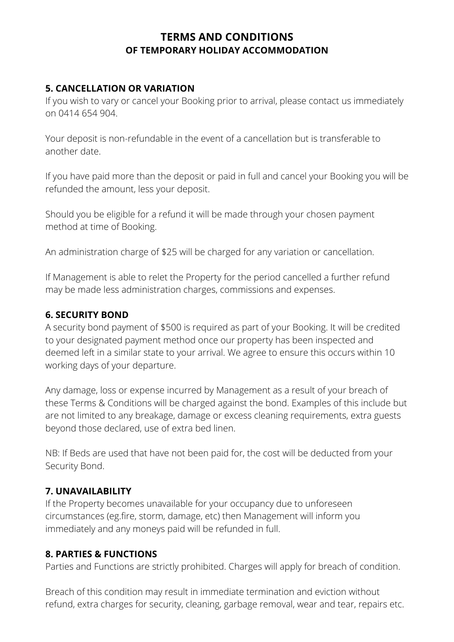## **5. CANCELLATION OR VARIATION**

If you wish to vary or cancel your Booking prior to arrival, please contact us immediately on 0414 654 904.

Your deposit is non-refundable in the event of a cancellation but is transferable to another date.

If you have paid more than the deposit or paid in full and cancel your Booking you will be refunded the amount, less your deposit.

Should you be eligible for a refund it will be made through your chosen payment method at time of Booking.

An administration charge of \$25 will be charged for any variation or cancellation.

If Management is able to relet the Property for the period cancelled a further refund may be made less administration charges, commissions and expenses.

## **6. SECURITY BOND**

A security bond payment of \$500 is required as part of your Booking. It will be credited to your designated payment method once our property has been inspected and deemed left in a similar state to your arrival. We agree to ensure this occurs within 10 working days of your departure.

Any damage, loss or expense incurred by Management as a result of your breach of these Terms & Conditions will be charged against the bond. Examples of this include but are not limited to any breakage, damage or excess cleaning requirements, extra guests beyond those declared, use of extra bed linen.

NB: If Beds are used that have not been paid for, the cost will be deducted from your Security Bond.

## **7. UNAVAILABILITY**

If the Property becomes unavailable for your occupancy due to unforeseen circumstances (eg.fire, storm, damage, etc) then Management will inform you immediately and any moneys paid will be refunded in full.

## **8. PARTIES & FUNCTIONS**

Parties and Functions are strictly prohibited. Charges will apply for breach of condition.

Breach of this condition may result in immediate termination and eviction without refund, extra charges for security, cleaning, garbage removal, wear and tear, repairs etc.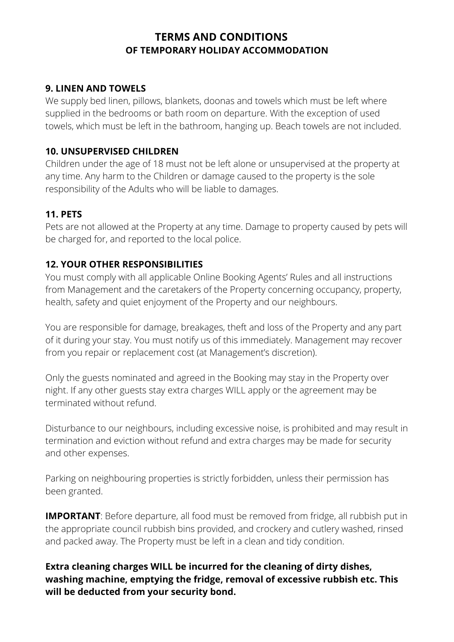## **9. LINEN AND TOWELS**

We supply bed linen, pillows, blankets, doonas and towels which must be left where supplied in the bedrooms or bath room on departure. With the exception of used towels, which must be left in the bathroom, hanging up. Beach towels are not included.

### **10. UNSUPERVISED CHILDREN**

Children under the age of 18 must not be left alone or unsupervised at the property at any time. Any harm to the Children or damage caused to the property is the sole responsibility of the Adults who will be liable to damages.

## **11. PETS**

Pets are not allowed at the Property at any time. Damage to property caused by pets will be charged for, and reported to the local police.

## **12. YOUR OTHER RESPONSIBILITIES**

You must comply with all applicable Online Booking Agents' Rules and all instructions from Management and the caretakers of the Property concerning occupancy, property, health, safety and quiet enjoyment of the Property and our neighbours.

You are responsible for damage, breakages, theft and loss of the Property and any part of it during your stay. You must notify us of this immediately. Management may recover from you repair or replacement cost (at Management's discretion).

Only the guests nominated and agreed in the Booking may stay in the Property over night. If any other guests stay extra charges WILL apply or the agreement may be terminated without refund.

Disturbance to our neighbours, including excessive noise, is prohibited and may result in termination and eviction without refund and extra charges may be made for security and other expenses.

Parking on neighbouring properties is strictly forbidden, unless their permission has been granted.

**IMPORTANT**: Before departure, all food must be removed from fridge, all rubbish put in the appropriate council rubbish bins provided, and crockery and cutlery washed, rinsed and packed away. The Property must be left in a clean and tidy condition.

**Extra cleaning charges WILL be incurred for the cleaning of dirty dishes, washing machine, emptying the fridge, removal of excessive rubbish etc. This will be deducted from your security bond.**